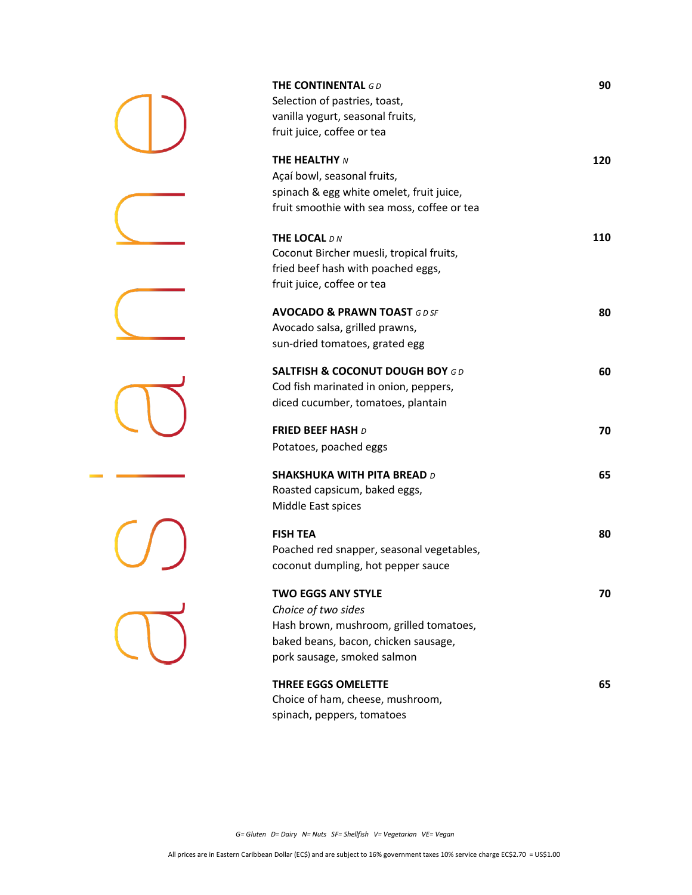| THE CONTINENTAL $GD$<br>Selection of pastries, toast,<br>vanilla yogurt, seasonal fruits,<br>fruit juice, coffee or tea                                            | 90  |
|--------------------------------------------------------------------------------------------------------------------------------------------------------------------|-----|
| <b>THE HEALTHY N</b><br>Açaí bowl, seasonal fruits,<br>spinach & egg white omelet, fruit juice,<br>fruit smoothie with sea moss, coffee or tea                     | 120 |
| THE LOCAL DN<br>Coconut Bircher muesli, tropical fruits,<br>fried beef hash with poached eggs,<br>fruit juice, coffee or tea                                       | 110 |
| <b>AVOCADO &amp; PRAWN TOAST GD SF</b><br>Avocado salsa, grilled prawns,<br>sun-dried tomatoes, grated egg                                                         | 80  |
| <b>SALTFISH &amp; COCONUT DOUGH BOY GD</b><br>Cod fish marinated in onion, peppers,<br>diced cucumber, tomatoes, plantain                                          | 60  |
| <b>FRIED BEEF HASH D</b><br>Potatoes, poached eggs                                                                                                                 | 70  |
| <b>SHAKSHUKA WITH PITA BREAD D</b><br>Roasted capsicum, baked eggs,<br>Middle East spices                                                                          | 65  |
| <b>FISH TEA</b><br>Poached red snapper, seasonal vegetables,<br>coconut dumpling, hot pepper sauce                                                                 | 80  |
| <b>TWO EGGS ANY STYLE</b><br>Choice of two sides<br>Hash brown, mushroom, grilled tomatoes,<br>baked beans, bacon, chicken sausage,<br>pork sausage, smoked salmon | 70  |
| <b>THREE EGGS OMELETTE</b><br>Choice of ham, cheese, mushroom,<br>spinach, peppers, tomatoes                                                                       | 65  |

*G= Gluten D= Dairy N= Nuts SF= Shellfish V= Vegetarian VE= Vegan*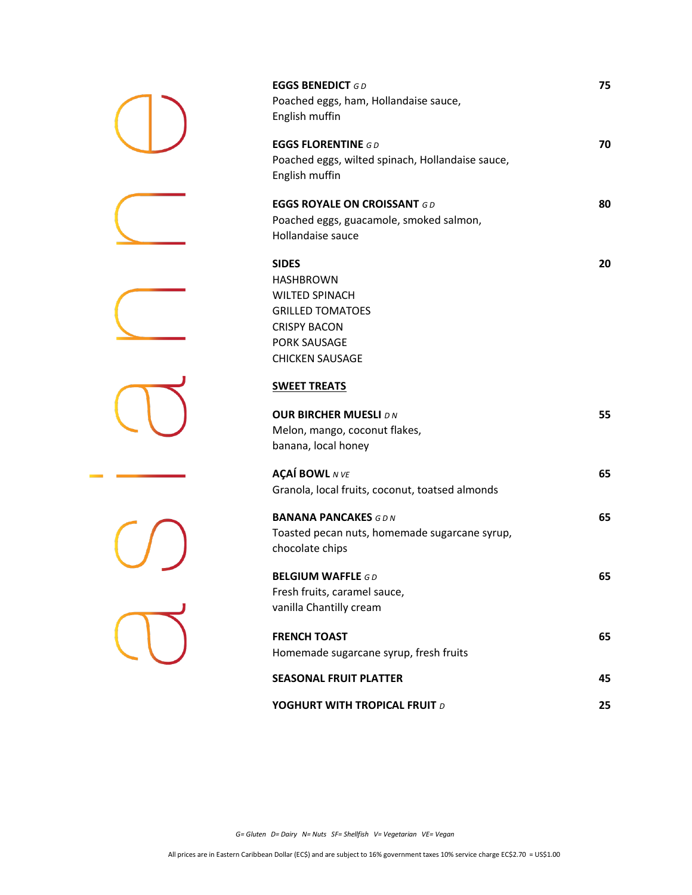| <b>EGGS BENEDICT GD</b><br>Poached eggs, ham, Hollandaise sauce,<br>English muffin                                                                           | 75 |
|--------------------------------------------------------------------------------------------------------------------------------------------------------------|----|
| <b>EGGS FLORENTINE GD</b><br>Poached eggs, wilted spinach, Hollandaise sauce,<br>English muffin                                                              | 70 |
| <b>EGGS ROYALE ON CROISSANT GD</b>                                                                                                                           | 80 |
| Poached eggs, guacamole, smoked salmon,<br>Hollandaise sauce                                                                                                 |    |
| <b>SIDES</b><br><b>HASHBROWN</b><br><b>WILTED SPINACH</b><br><b>GRILLED TOMATOES</b><br><b>CRISPY BACON</b><br><b>PORK SAUSAGE</b><br><b>CHICKEN SAUSAGE</b> | 20 |
| <b>SWEET TREATS</b>                                                                                                                                          |    |
| <b>OUR BIRCHER MUESLI DN</b><br>Melon, mango, coconut flakes,<br>banana, local honey                                                                         | 55 |
| <b>AÇAÍ BOWL</b> N VE<br>Granola, local fruits, coconut, toatsed almonds                                                                                     | 65 |
| <b>BANANA PANCAKES GDN</b><br>Toasted pecan nuts, homemade sugarcane syrup,<br>chocolate chips                                                               | 65 |
| <b>BELGIUM WAFFLE GD</b><br>Fresh fruits, caramel sauce,<br>vanilla Chantilly cream                                                                          | 65 |
| <b>FRENCH TOAST</b>                                                                                                                                          | 65 |
| Homemade sugarcane syrup, fresh fruits                                                                                                                       |    |
| <b>SEASONAL FRUIT PLATTER</b>                                                                                                                                | 45 |
| YOGHURT WITH TROPICAL FRUIT D                                                                                                                                | 25 |

*G= Gluten D= Dairy N= Nuts SF= Shellfish V= Vegetarian VE= Vegan*